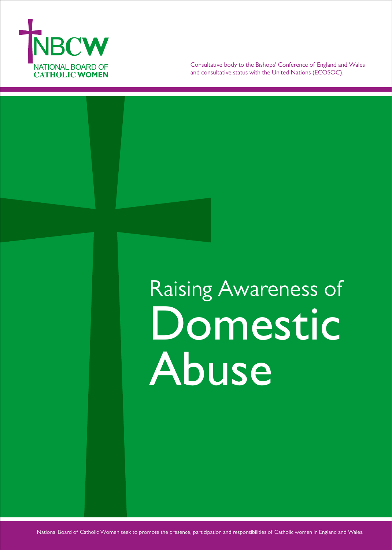

Consultative body to the Bishops' Conference of England and Wales and consultative status with the United Nations (ECOSOC).

# Raising Awareness of Domestic Abuse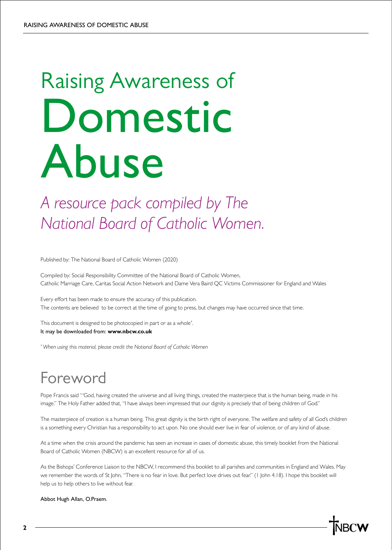# Raising Awareness of Domestic Abuse

*A resource pack compiled by The National Board of Catholic Women.*

Published by: The National Board of Catholic Women (2020)

Compiled by: Social Responsibility Committee of the National Board of Catholic Women, Catholic Marriage Care, Caritas Social Action Network and Dame Vera Baird QC Victims Commissioner for England and Wales

Every effort has been made to ensure the accuracy of this publication. The contents are believed to be correct at the time of going to press, but changes may have occurred since that time.

This document is designed to be photocopied in part or as a whole<sup>\*</sup>. It may be downloaded from: **www.nbcw.co.uk**

*\* When using this material, please credit the National Board of Catholic Women*

# Foreword

Pope Francis said "'God, having created the universe and all living things, created the masterpiece that is the human being, made in his image." The Holy Father added that, "I have always been impressed that our dignity is precisely that of being children of God."

The masterpiece of creation is a human being. This great dignity is the birth right of everyone. The welfare and safety of all God's children is a something every Christian has a responsibility to act upon. No one should ever live in fear of violence, or of any kind of abuse.

At a time when the crisis around the pandemic has seen an increase in cases of domestic abuse, this timely booklet from the National Board of Catholic Women (NBCW) is an excellent resource for all of us.

As the Bishops' Conference Liaison to the NBCW, I recommend this booklet to all parishes and communities in England and Wales. May we remember the words of St John, "There is no fear in love. But perfect love drives out fear." (1 John 4.18). I hope this booklet will help us to help others to live without fear.

Abbot Hugh Allan, O.Praem.

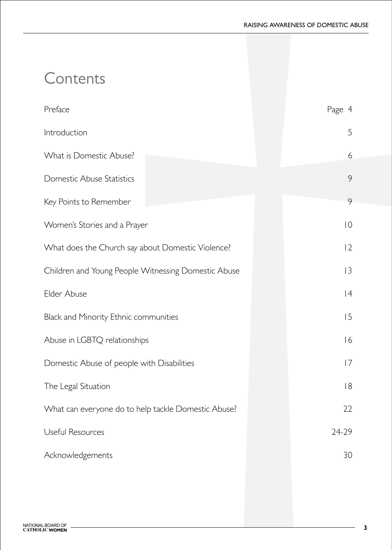# **Contents**

| Preface                                             | Page 4         |
|-----------------------------------------------------|----------------|
| Introduction                                        | 5              |
| What is Domestic Abuse?                             | 6              |
| Domestic Abuse Statistics                           | 9              |
| Key Points to Remember                              | 9              |
| Women's Stories and a Prayer                        | $\overline{0}$ |
| What does the Church say about Domestic Violence?   | $ 2\rangle$    |
| Children and Young People Witnessing Domestic Abuse | 3              |
| Elder Abuse                                         | 4              |
| Black and Minority Ethnic communities               | 15             |
| Abuse in LGBTQ relationships                        | 16             |
| Domestic Abuse of people with Disabilities          | 7              |
| The Legal Situation                                 | 8              |
| What can everyone do to help tackle Domestic Abuse? | 22             |
| Useful Resources                                    | 24-29          |
| Acknowledgements                                    | 30             |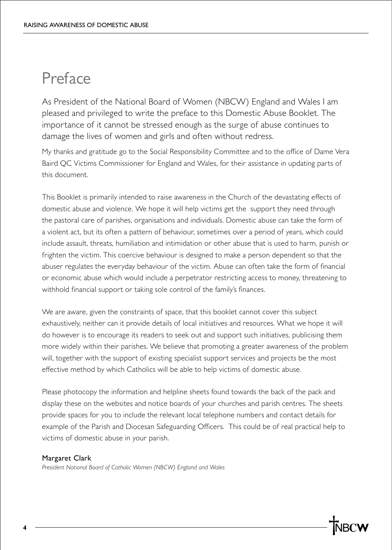## Preface

As President of the National Board of Women (NBCW) England and Wales I am pleased and privileged to write the preface to this Domestic Abuse Booklet. The importance of it cannot be stressed enough as the surge of abuse continues to damage the lives of women and girls and often without redress.

My thanks and gratitude go to the Social Responsibility Committee and to the office of Dame Vera Baird QC Victims Commissioner for England and Wales, for their assistance in updating parts of this document.

This Booklet is primarily intended to raise awareness in the Church of the devastating effects of domestic abuse and violence. We hope it will help victims get the support they need through the pastoral care of parishes, organisations and individuals. Domestic abuse can take the form of a violent act, but its often a pattern of behaviour, sometimes over a period of years, which could include assault, threats, humiliation and intimidation or other abuse that is used to harm, punish or frighten the victim. This coercive behaviour is designed to make a person dependent so that the abuser regulates the everyday behaviour of the victim. Abuse can often take the form of financial or economic abuse which would include a perpetrator restricting access to money, threatening to withhold financial support or taking sole control of the family's finances.

We are aware, given the constraints of space, that this booklet cannot cover this subject exhaustively, neither can it provide details of local initiatives and resources. What we hope it will do however is to encourage its readers to seek out and support such initiatives, publicising them more widely within their parishes. We believe that promoting a greater awareness of the problem will, together with the support of existing specialist support services and projects be the most effective method by which Catholics will be able to help victims of domestic abuse.

Please photocopy the information and helpline sheets found towards the back of the pack and display these on the websites and notice boards of your churches and parish centres. The sheets provide spaces for you to include the relevant local telephone numbers and contact details for example of the Parish and Diocesan Safeguarding Officers. This could be of real practical help to victims of domestic abuse in your parish.

#### Margaret Clark

*President National Board of Catholic Women (NBCW) England and Wales*

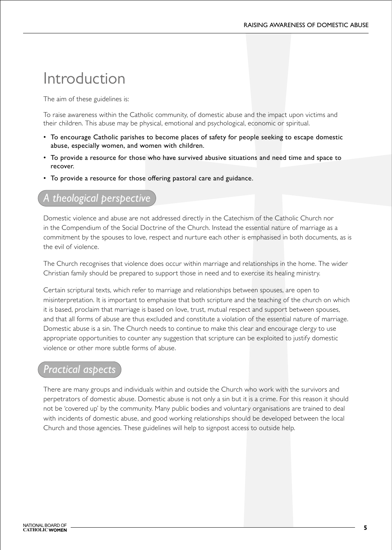# Introduction

The aim of these guidelines is:

To raise awareness within the Catholic community, of domestic abuse and the impact upon victims and their children. This abuse may be physical, emotional and psychological, economic or spiritual.

- To encourage Catholic parishes to become places of safety for people seeking to escape domestic abuse, especially women, and women with children.
- To provide a resource for those who have survived abusive situations and need time and space to recover.
- To provide a resource for those offering pastoral care and guidance.

### $the$ ological perspective

Domestic violence and abuse are not addressed directly in the Catechism of the Catholic Church nor in the Compendium of the Social Doctrine of the Church. Instead the essential nature of marriage as a commitment by the spouses to love, respect and nurture each other is emphasised in both documents, as is the evil of violence.

The Church recognises that violence does occur within marriage and relationships in the home. The wider Christian family should be prepared to support those in need and to exercise its healing ministry.

Certain scriptural texts, which refer to marriage and relationships between spouses, are open to misinterpretation. It is important to emphasise that both scripture and the teaching of the church on which it is based, proclaim that marriage is based on love, trust, mutual respect and support between spouses, and that all forms of abuse are thus excluded and constitute a violation of the essential nature of marriage. Domestic abuse is a sin. The Church needs to continue to make this clear and encourage clergy to use appropriate opportunities to counter any suggestion that scripture can be exploited to justify domestic violence or other more subtle forms of abuse.

### *Practical aspects*

There are many groups and individuals within and outside the Church who work with the survivors and perpetrators of domestic abuse. Domestic abuse is not only a sin but it is a crime. For this reason it should not be 'covered up' by the community. Many public bodies and voluntary organisations are trained to deal with incidents of domestic abuse, and good working relationships should be developed between the local Church and those agencies. These guidelines will help to signpost access to outside help.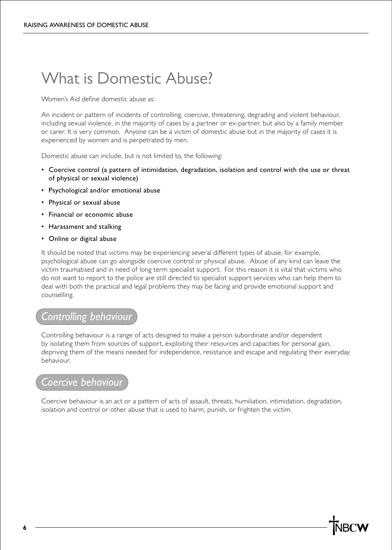# What is Domestic Abuse?

Women's Aid define domestic abuse as:

An incident or pattern of incidents of controlling, coercive, threatening, degrading and violent behaviour, including sexual violence, in the majority of cases by a partner or ex-partner, but also by a family member or carer. It is very common. Anyone can be a victim of domestic abuse but in the majority of cases it is experienced by women and is perpetrated by men.

Domestic abuse can include, but is not limited to, the following:

- Coercive control (a pattern of intimidation, degradation, isolation and control with the use or threat of physical or sexual violence)
- Psychological and/or emotional abuse
- Physical or sexual abuse
- Financial or economic abuse
- Harassment and stalking
- Online or digital abuse

It should be noted that victims may be experiencing several different types of abuse, for example, psychological abuse can go alongside coercive control or physical abuse. Abuse of any kind can leave the victim traumatised and in need of long term specialist support. For this reason it is vital that victims who do not want to report to the police are still directed to specialist support services who can help them to deal with both the practical and legal problems they may be facing and provide emotional support and counselling.

### *Controlling behaviour*

Controlling behaviour is a range of acts designed to make a person subordinate and/or dependent by isolating them from sources of support, exploiting their resources and capacities for personal gain, depriving them of the means needed for independence, resistance and escape and regulating their everyday behaviour.

#### *Coercive behaviour*

Coercive behaviour is an act or a pattern of acts of assault, threats, humiliation, intimidation, degradation, isolation and control or other abuse that is used to harm, punish, or frighten the victim.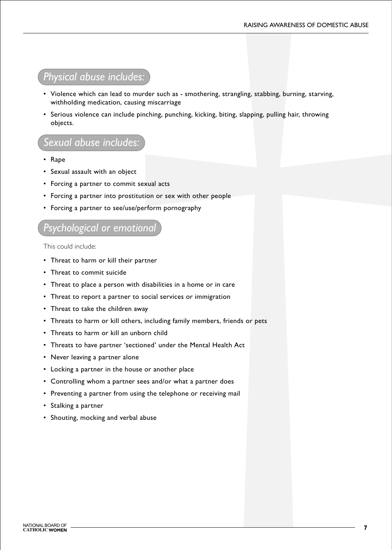### *Physical abuse includes:*

- Violence which can lead to murder such as smothering, strangling, stabbing, burning, starving, withholding medication, causing miscarriage
- Serious violence can include pinching, punching, kicking, biting, slapping, pulling hair, throwing objects.

### *Sexual abuse includes:*

- Rape
- Sexual assault with an object
- Forcing a partner to commit sexual acts
- Forcing a partner into prostitution or sex with other people
- Forcing a partner to see/use/perform pornography

#### *Psychological or emotional*

This could include:

- Threat to harm or kill their partner
- Threat to commit suicide
- Threat to place a person with disabilities in a home or in care
- Threat to report a partner to social services or immigration
- Threat to take the children away
- Threats to harm or kill others, including family members, friends or pets
- Threats to harm or kill an unborn child
- Threats to have partner 'sectioned' under the Mental Health Act
- Never leaving a partner alone
- Locking a partner in the house or another place
- Controlling whom a partner sees and/or what a partner does
- Preventing a partner from using the telephone or receiving mail
- Stalking a partner
- Shouting, mocking and verbal abuse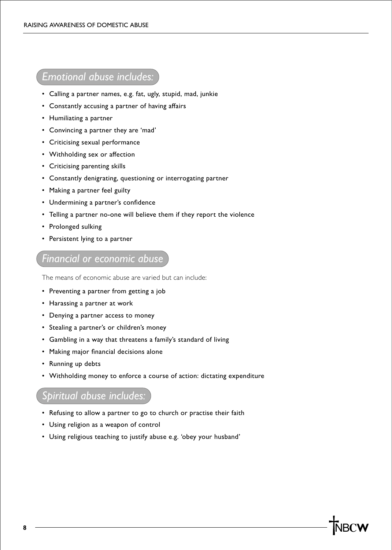### *Emotional abuse includes:*

- Calling a partner names, e.g. fat, ugly, stupid, mad, junkie
- Constantly accusing a partner of having affairs
- Humiliating a partner
- Convincing a partner they are 'mad'
- Criticising sexual performance
- Withholding sex or affection
- Criticising parenting skills
- Constantly denigrating, questioning or interrogating partner
- Making a partner feel guilty
- Undermining a partner's confidence
- Telling a partner no-one will believe them if they report the violence
- Prolonged sulking
- Persistent lying to a partner

### *Financial or economic abuse*

The means of economic abuse are varied but can include:

- Preventing a partner from getting a job
- Harassing a partner at work
- Denying a partner access to money
- Stealing a partner's or children's money
- Gambling in a way that threatens a family's standard of living
- Making major financial decisions alone
- Running up debts
- Withholding money to enforce a course of action: dictating expenditure

### *Spiritual abuse includes:*

- Refusing to allow a partner to go to church or practise their faith
- Using religion as a weapon of control
- Using religious teaching to justify abuse e.g. 'obey your husband'

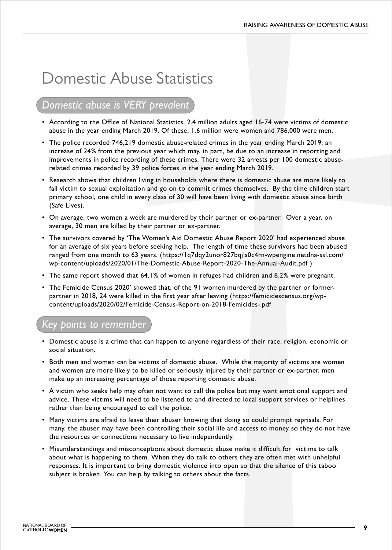# Domestic Abuse Statistics

### *Domestic abuse is VERY prevalent*

- According to the Office of National Statistics, 2.4 million adults aged 16-74 were victims of domestic abuse in the year ending March 2019. Of these, 1.6 million were women and 786,000 were men.
- The police recorded 746,219 domestic abuse-related crimes in the year ending March 2019, an increase of 24% from the previous year which may, in part, be due to an increase in reporting and improvements in police recording of these crimes. There were 32 arrests per 100 domestic abuserelated crimes recorded by 39 police forces in the year ending March 2019.
- Research shows that children living in households where there is domestic abuse are more likely to fall victim to sexual exploitation and go on to commit crimes themselves. By the time children start primary school, one child in every class of 30 will have been living with domestic abuse since birth (Safe Lives).
- On average, two women a week are murdered by their partner or ex-partner. Over a year, on average, 30 men are killed by their partner or ex-partner.
- The survivors covered by 'The Women's Aid Domestic Abuse Report 2020' had experienced abuse for an average of six years before seeking help. The length of time these survivors had been abused ranged from one month to 63 years. (https://1q7dqy2unor827bqjls0c4rn-wpengine.netdna-ssl.com/ wp-content/uploads/2020/01/The-Domestic-Abuse-Report-2020-The-Annual-Audit.pdf )
- The same report showed that 64.1% of women in refuges had children and 8.2% were pregnant.
- The Femicide Census 2020' showed that, of the 91 women murdered by the partner or formerpartner in 2018, 24 were killed in the first year after leaving (https://femicidescensus.org/wpcontent/uploads/2020/02/Femicide-Census-Report-on-2018-Femicides-.pdf

### *Key points to remember*

- Domestic abuse is a crime that can happen to anyone regardless of their race, religion, economic or social situation.
- Both men and women can be victims of domestic abuse. While the majority of victims are women and women are more likely to be killed or seriously injured by their partner or ex-partner, men make up an increasing percentage of those reporting domestic abuse.
- A victim who seeks help may often not want to call the police but may want emotional support and advice. These victims will need to be listened to and directed to local support services or helplines rather than being encouraged to call the police.
- Many victims are afraid to leave their abuser knowing that doing so could prompt reprisals. For many, the abuser may have been controlling their social life and access to money so they do not have the resources or connections necessary to live independently.
- Misunderstandings and misconceptions about domestic abuse make it difficult for victims to talk about what is happening to them. When they do talk to others they are often met with unhelpful responses. It is important to bring domestic violence into open so that the silence of this taboo subject is broken. You can help by talking to others about the facts.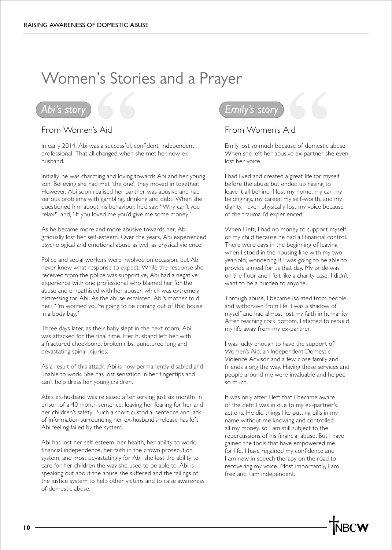# Women's Stories and a Prayer

### *Abi's story*

#### From Women's Aid

In early 2014, Abi was a successful, confident, independent professional. That all changed when she met her now exhusband.

Initially, he was charming and loving towards Abi and her young son. Believing she had met 'the one', they moved in together. However, Abi soon realised her partner was abusive and had serious problems with gambling, drinking and debt. When she questioned him about his behaviour, he'd say: "Why can't you relax?" and, "If you loved me you'd give me some money."

As he became more and more abusive towards her, Abi gradually lost her self-esteem. Over the years, Abi experienced psychological and emotional abuse as well as physical violence.

Police and social workers were involved on occasion, but Abi never knew what response to expect. While the response she received from the police was supportive, Abi had a negative experience with one professional who blamed her for the abuse and empathised with her abuser, which was extremely distressing for Abi. As the abuse escalated, Abi's mother told her: "I'm worried you're going to be coming out of that house in a body bag."

Three days later, as their baby slept in the next room, Abi was attacked for the final time. Her husband left her with a fractured cheekbone, broken ribs, punctured lung and devastating spinal injuries.

As a result of this attack, Abi is now permanently disabled and unable to work. She has lost sensation in her fingertips and can't help dress her young children.

Abi's ex-husband was released after serving just six months in prison of a 40 month sentence, leaving her fearing for her and her children's safety. Such a short custodial sentence and lack of information surrounding her ex-husband's release has left Abi feeling failed by the system.

Abi has lost her self-esteem, her health, her ability to work, financial independence, her faith in the crown prosecution system, and most devastatingly for Abi, she lost the ability to care for her children the way she used to be able to. Abi is speaking out about the abuse she suffered and the failings of the justice system to help other victims and to raise awareness of domestic abuse.



#### From Women's Aid

Emily lost so much because of domestic abuse. When she left her abusive ex-partner she even lost her voice.

I had lived and created a great life for myself before the abuse but ended up having to leave it all behind. I lost my home, my car, my belongings, my career, my self-worth, and my dignity. I even physically lost my voice because of the trauma I'd experienced.

When I left, I had no money to support myself or my child because he had all financial control. There were days in the beginning of leaving when I stood in the housing line with my twoyear-old, wondering if I was going to be able to provide a meal for us that day. My pride was on the floor and I felt like a charity case. I didn't want to be a burden to anyone.

Through abuse, I became isolated from people and withdrawn from life. I was a shadow of myself and had almost lost my faith in humanity. After reaching rock bottom, I started to rebuild my life away from my ex-partner.

I was lucky enough to have the support of Women's Aid, an Independent Domestic Violence Advisor and a few close family and friends along the way. Having these services and people around me were invaluable and helped so much.

It was only after I left that I became aware of the debt I was in due to my ex-partner's actions. He did things like putting bills in my name without me knowing and controlled all my money, so I am still subject to the repercussions of his financial abuse. But I have gained the tools that have empowered me for life, I have regained my confidence and I am now in speech therapy on the road to recovering my voice. Most importantly, I am free and I am independent.

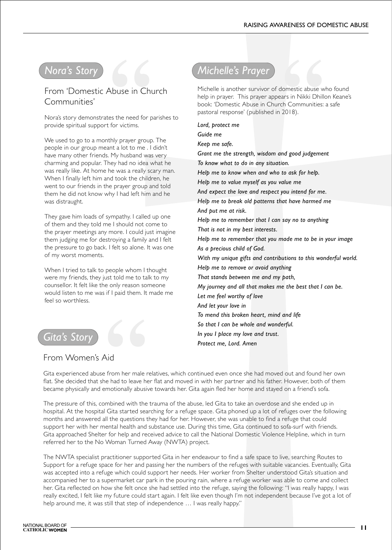### *Nora's Story*

From 'Domestic Abuse in Church Communities'

Nora's story demonstrates the need for parishes to provide spiritual support for victims.

We used to go to a monthly prayer group. The people in our group meant a lot to me . I didn't have many other friends. My husband was very charming and popular. They had no idea what he was really like. At home he was a really scary man. When I finally left him and took the children, he went to our friends in the prayer group and told them he did not know why I had left him and he was distraught.

They gave him loads of sympathy. I called up one of them and they told me I should not come to the prayer meetings any more. I could just imagine them judging me for destroying a family and I felt the pressure to go back. I felt so alone. It was one of my worst moments.

When I tried to talk to people whom I thought were my friends, they just told me to talk to my counsellor. It felt like the only reason someone would listen to me was if I paid them. It made me feel so worthless.

### *Gita's Stor*

#### From Women's Aid

*Michelle's Prayer*

Michelle is another survivor of domestic abuse who found help in prayer. This prayer appears in Nikki Dhillon Keane's book: 'Domestic Abuse in Church Communities: a safe pastoral response' (published in 2018).

*Lord, protect me Guide me Keep me safe. Grant me the strength, wisdom and good judgement To know what to do in any situation. Help me to know when and who to ask for help. Help me to value myself as you value me And expect the love and respect you intend for me. Help me to break old patterns that have harmed me And put me at risk. Help me to remember that I can say no to anything That is not in my best interests. Help me to remember that you made me to be in your image As a precious child of God. With my unique gifts and contributions to this wonderful world. Help me to remove or avoid anything That stands between me and my path, My journey and all that makes me the best that I can be. Let me feel worthy of love And let your love in To mend this broken heart, mind and life So that I can be whole and wonderful. In you I place my love and trust. Protect me, Lord. Amen*

Gita experienced abuse from her male relatives, which continued even once she had moved out and found her own flat. She decided that she had to leave her flat and moved in with her partner and his father. However, both of them became physically and emotionally abusive towards her. Gita again fled her home and stayed on a friend's sofa.

The pressure of this, combined with the trauma of the abuse, led Gita to take an overdose and she ended up in hospital. At the hospital Gita started searching for a refuge space. Gita phoned up a lot of refuges over the following months and answered all the questions they had for her. However, she was unable to find a refuge that could support her with her mental health and substance use. During this time, Gita continued to sofa-surf with friends. Gita approached Shelter for help and received advice to call the National Domestic Violence Helpline, which in turn referred her to the No Woman Turned Away (NWTA) project.

The NWTA specialist practitioner supported Gita in her endeavour to find a safe space to live, searching Routes to Support for a refuge space for her and passing her the numbers of the refuges with suitable vacancies. Eventually, Gita was accepted into a refuge which could support her needs. Her worker from Shelter understood Gita's situation and accompanied her to a supermarket car park in the pouring rain, where a refuge worker was able to come and collect her. Gita reflected on how she felt once she had settled into the refuge, saying the following: "I was really happy, I was really excited, I felt like my future could start again. I felt like even though I'm not independent because I've got a lot of help around me, it was still that step of independence ... I was really happy."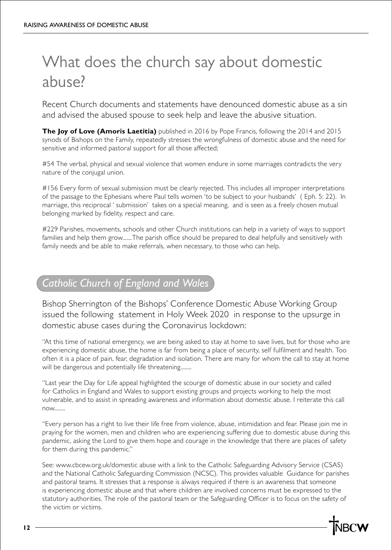# What does the church say about domestic abuse?

Recent Church documents and statements have denounced domestic abuse as a sin and advised the abused spouse to seek help and leave the abusive situation.

**The Joy of Love (Amoris Laetitia)** published in 2016 by Pope Francis, following the 2014 and 2015 synods of Bishops on the Family, repeatedly stresses the wrongfulness of domestic abuse and the need for sensitive and informed pastoral support for all those affected;

#54 The verbal, physical and sexual violence that women endure in some marriages contradicts the very nature of the conjugal union.

#156 Every form of sexual submission must be clearly rejected. This includes all improper interpretations of the passage to the Ephesians where Paul tells women 'to be subject to your husbands' ( Eph. 5: 22). In marriage, this reciprocal ' submission' takes on a special meaning, and is seen as a freely chosen mutual belonging marked by fidelity, respect and care.

#229 Parishes, movements, schools and other Church institutions can help in a variety of ways to support families and help them grow.......The parish office should be prepared to deal helpfully and sensitively with family needs and be able to make referrals, when necessary, to those who can help.

### *Catholic Church of England and Wales*

Bishop Sherrington of the Bishops' Conference Domestic Abuse Working Group issued the following statement in Holy Week 2020 in response to the upsurge in domestic abuse cases during the Coronavirus lockdown:

"At this time of national emergency, we are being asked to stay at home to save lives, but for those who are experiencing domestic abuse, the home is far from being a place of security, self fulfilment and health. Too often it is a place of pain, fear, degradation and isolation. There are many for whom the call to stay at home will be dangerous and potentially life threatening........

"Last year the Day for Life appeal highlighted the scourge of domestic abuse in our society and called for Catholics in England and Wales to support existing groups and projects working to help the most vulnerable, and to assist in spreading awareness and information about domestic abuse. I reiterate this call now........

"Every person has a right to live their life free from violence, abuse, intimidation and fear. Please join me in praying for the women, men and children who are experiencing suffering due to domestic abuse during this pandemic, asking the Lord to give them hope and courage in the knowledge that there are places of safety for them during this pandemic."

See: www.cbcew.org.uk/domestic abuse with a link to the Catholic Safeguarding Advisory Service (CSAS) and the National Catholic Safeguarding Commission (NCSC). This provides valuable Guidance for parishes and pastoral teams. It stresses that a response is always required if there is an awareness that someone is experiencing domestic abuse and that where children are involved concerns must be expressed to the statutory authorities. The role of the pastoral team or the Safeguarding Officer is to focus on the safety of the victim or victims.

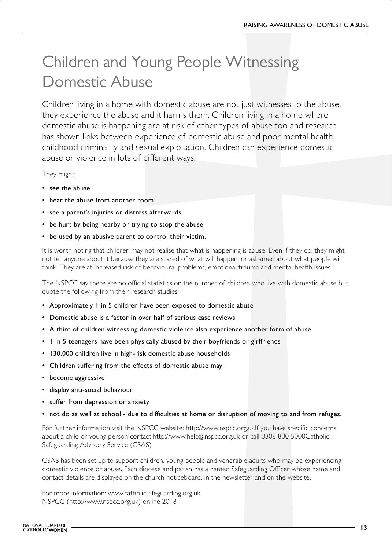# Children and Young People Witnessing Domestic Abuse

Children living in a home with domestic abuse are not just witnesses to the abuse, they experience the abuse and it harms them. Children living in a home where domestic abuse is happening are at risk of other types of abuse too and research has shown links between experience of domestic abuse and poor mental health, childhood criminality and sexual exploitation. Children can experience domestic abuse or violence in lots of different ways.

They might:

- see the abuse
- hear the abuse from another room
- see a parent's injuries or distress afterwards
- be hurt by being nearby or trying to stop the abuse
- be used by an abusive parent to control their victim.

It is worth noting that children may not realise that what is happening is abuse. Even if they do, they might not tell anyone about it because they are scared of what will happen, or ashamed about what people will think. They are at increased risk of behavioural problems, emotional trauma and mental health issues.

The NSPCC say there are no official statistics on the number of children who live with domestic abuse but quote the following from their research studies:

- Approximately 1 in 5 children have been exposed to domestic abuse
- Domestic abuse is a factor in over half of serious case reviews
- A third of children witnessing domestic violence also experience another form of abuse
- 1 in 5 teenagers have been physically abused by their boyfriends or girlfriends
- 130,000 children live in high-risk domestic abuse households
- Children suffering from the effects of domestic abuse may:
- become aggressive
- display anti-social behaviour
- suffer from depression or anxiety
- not do as well at school due to difficulties at home or disruption of moving to and from refuges.

For further information visit the NSPCC website: http://www.nspcc.org.ukIf you have specific concerns about a child or young person contact:http://www.help@nspcc.org.uk or call 0808 800 5000Catholic Safeguarding Advisory Service (CSAS)

CSAS has been set up to support children, young people and venerable adults who may be experiencing domestic violence or abuse. Each diocese and parish has a named Safeguarding Officer whose name and contact details are displayed on the church noticeboard, in the newsletter and on the website.

For more information: www.catholicsafeguarding.org.uk NSPCC (http://www.nspcc.org.uk) online 2018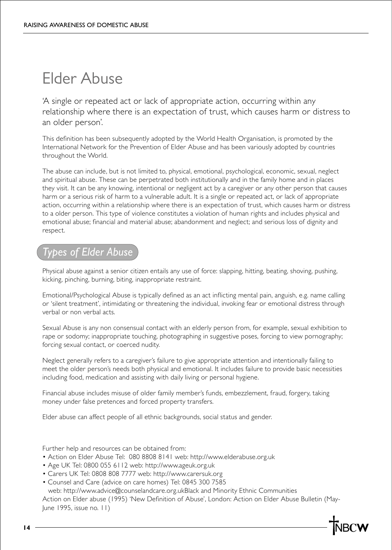# Elder Abuse

'A single or repeated act or lack of appropriate action, occurring within any relationship where there is an expectation of trust, which causes harm or distress to an older person'.

This definition has been subsequently adopted by the World Health Organisation, is promoted by the International Network for the Prevention of Elder Abuse and has been variously adopted by countries throughout the World.

The abuse can include, but is not limited to, physical, emotional, psychological, economic, sexual, neglect and spiritual abuse. These can be perpetrated both institutionally and in the family home and in places they visit. It can be any knowing, intentional or negligent act by a caregiver or any other person that causes harm or a serious risk of harm to a vulnerable adult. It is a single or repeated act, or lack of appropriate action, occurring within a relationship where there is an expectation of trust, which causes harm or distress to a older person. This type of violence constitutes a violation of human rights and includes physical and emotional abuse; financial and material abuse; abandonment and neglect; and serious loss of dignity and respect.

### *Types of Elder Abuse*

Physical abuse against a senior citizen entails any use of force: slapping, hitting, beating, shoving, pushing, kicking, pinching, burning, biting, inappropriate restraint.

Emotional/Psychological Abuse is typically defined as an act inflicting mental pain, anguish, e.g. name calling or 'silent treatment', intimidating or threatening the individual, invoking fear or emotional distress through verbal or non verbal acts.

Sexual Abuse is any non consensual contact with an elderly person from, for example, sexual exhibition to rape or sodomy; inappropriate touching, photographing in suggestive poses, forcing to view pornography; forcing sexual contact, or coerced nudity.

Neglect generally refers to a caregiver's failure to give appropriate attention and intentionally failing to meet the older person's needs both physical and emotional. It includes failure to provide basic necessities including food, medication and assisting with daily living or personal hygiene.

Financial abuse includes misuse of older family member's funds, embezzlement, fraud, forgery, taking money under false pretences and forced property transfers.

Elder abuse can affect people of all ethnic backgrounds, social status and gender.

Further help and resources can be obtained from:

- Action on Elder Abuse Tel: 080 8808 8141 web: http://www.elderabuse.org.uk
- Age UK Tel: 0800 055 6112 web: http://www.ageuk.org.uk
- Carers UK Tel: 0808 808 7777 web: http://www.carersuk.org
- Counsel and Care (advice on care homes) Tel: 0845 300 7585

 web: http://www.advice@counselandcare.org.ukBlack and Minority Ethnic Communities Action on Elder abuse (1995) 'New Definition of Abuse', London: Action on Elder Abuse Bulletin (May-June 1995, issue no. 11)

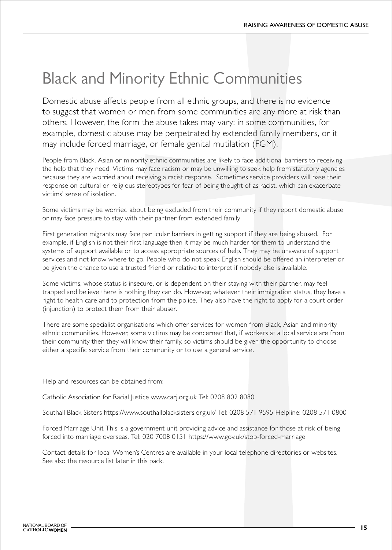# Black and Minority Ethnic Communities

Domestic abuse affects people from all ethnic groups, and there is no evidence to suggest that women or men from some communities are any more at risk than others. However, the form the abuse takes may vary; in some communities, for example, domestic abuse may be perpetrated by extended family members, or it may include forced marriage, or female genital mutilation (FGM).

People from Black, Asian or minority ethnic communities are likely to face additional barriers to receiving the help that they need. Victims may face racism or may be unwilling to seek help from statutory agencies because they are worried about receiving a racist response. Sometimes service providers will base their response on cultural or religious stereotypes for fear of being thought of as racist, which can exacerbate victims' sense of isolation.

Some victims may be worried about being excluded from their community if they report domestic abuse or may face pressure to stay with their partner from extended family

First generation migrants may face particular barriers in getting support if they are being abused. For example, if English is not their first language then it may be much harder for them to understand the systems of support available or to access appropriate sources of help. They may be unaware of support services and not know where to go. People who do not speak English should be offered an interpreter or be given the chance to use a trusted friend or relative to interpret if nobody else is available.

Some victims, whose status is insecure, or is dependent on their staying with their partner, may feel trapped and believe there is nothing they can do. However, whatever their immigration status, they have a right to health care and to protection from the police. They also have the right to apply for a court order (injunction) to protect them from their abuser.

There are some specialist organisations which offer services for women from Black, Asian and minority ethnic communities. However, some victims may be concerned that, if workers at a local service are from their community then they will know their family, so victims should be given the opportunity to choose either a specific service from their community or to use a general service.

Help and resources can be obtained from:

Catholic Association for Racial Justice www.carj.org.uk Tel: 0208 802 8080

Southall Black Sisters https://www.southallblacksisters.org.uk/ Tel: 0208 571 9595 Helpline: 0208 571 0800

Forced Marriage Unit This is a government unit providing advice and assistance for those at risk of being forced into marriage overseas. Tel: 020 7008 0151 https://www.gov.uk/stop-forced-marriage

Contact details for local Women's Centres are available in your local telephone directories or websites. See also the resource list later in this pack.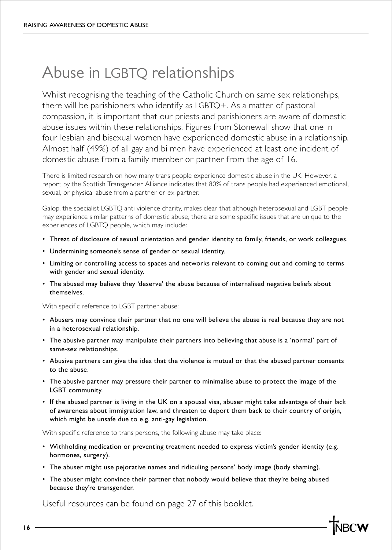# Abuse in LGBTQ relationships

Whilst recognising the teaching of the Catholic Church on same sex relationships, there will be parishioners who identify as LGBTQ+. As a matter of pastoral compassion, it is important that our priests and parishioners are aware of domestic abuse issues within these relationships. Figures from Stonewall show that one in four lesbian and bisexual women have experienced domestic abuse in a relationship. Almost half (49%) of all gay and bi men have experienced at least one incident of domestic abuse from a family member or partner from the age of 16.

There is limited research on how many trans people experience domestic abuse in the UK. However, a report by the Scottish Transgender Alliance indicates that 80% of trans people had experienced emotional, sexual, or physical abuse from a partner or ex-partner.

Galop, the specialist LGBTQ anti violence charity, makes clear that although heterosexual and LGBT people may experience similar patterns of domestic abuse, there are some specific issues that are unique to the experiences of LGBTQ people, which may include:

- Threat of disclosure of sexual orientation and gender identity to family, friends, or work colleagues.
- Undermining someone's sense of gender or sexual identity.
- Limiting or controlling access to spaces and networks relevant to coming out and coming to terms with gender and sexual identity.
- The abused may believe they 'deserve' the abuse because of internalised negative beliefs about themselves.

With specific reference to LGBT partner abuse:

- Abusers may convince their partner that no one will believe the abuse is real because they are not in a heterosexual relationship.
- The abusive partner may manipulate their partners into believing that abuse is a 'normal' part of same-sex relationships.
- Abusive partners can give the idea that the violence is mutual or that the abused partner consents to the abuse.
- The abusive partner may pressure their partner to minimalise abuse to protect the image of the LGBT community.
- If the abused partner is living in the UK on a spousal visa, abuser might take advantage of their lack of awareness about immigration law, and threaten to deport them back to their country of origin, which might be unsafe due to e.g. anti-gay legislation.

With specific reference to trans persons, the following abuse may take place:

- Withholding medication or preventing treatment needed to express victim's gender identity (e.g. hormones, surgery).
- The abuser might use pejorative names and ridiculing persons' body image (body shaming).
- The abuser might convince their partner that nobody would believe that they're being abused because they're transgender.

Useful resources can be found on page 27 of this booklet.

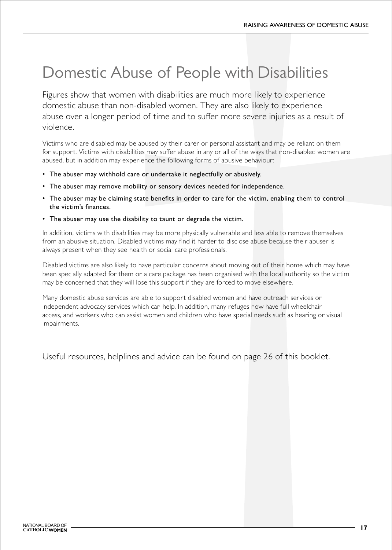# Domestic Abuse of People with Disabilities

Figures show that women with disabilities are much more likely to experience domestic abuse than non-disabled women. They are also likely to experience abuse over a longer period of time and to suffer more severe injuries as a result of violence.

Victims who are disabled may be abused by their carer or personal assistant and may be reliant on them for support. Victims with disabilities may suffer abuse in any or all of the ways that non-disabled women are abused, but in addition may experience the following forms of abusive behaviour:

- The abuser may withhold care or undertake it neglectfully or abusively.
- The abuser may remove mobility or sensory devices needed for independence.
- The abuser may be claiming state benefits in order to care for the victim, enabling them to control the victim's finances.
- The abuser may use the disability to taunt or degrade the victim.

In addition, victims with disabilities may be more physically vulnerable and less able to remove themselves from an abusive situation. Disabled victims may find it harder to disclose abuse because their abuser is always present when they see health or social care professionals.

Disabled victims are also likely to have particular concerns about moving out of their home which may have been specially adapted for them or a care package has been organised with the local authority so the victim may be concerned that they will lose this support if they are forced to move elsewhere.

Many domestic abuse services are able to support disabled women and have outreach services or independent advocacy services which can help. In addition, many refuges now have full wheelchair access, and workers who can assist women and children who have special needs such as hearing or visual impairments.

Useful resources, helplines and advice can be found on page 26 of this booklet.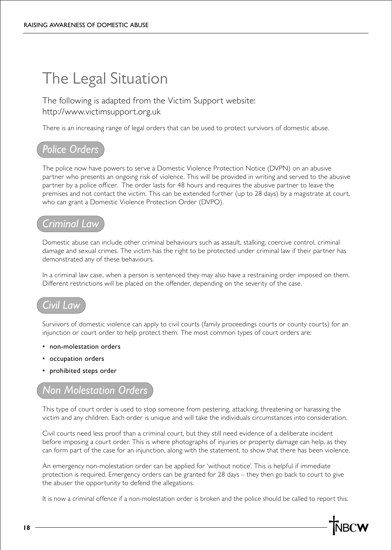# The Legal Situation

The following is adapted from the Victim Support website: http://www.victimsupport.org.uk

There is an increasing range of legal orders that can be used to protect survivors of domestic abuse.

### *Police Orders*

The police now have powers to serve a Domestic Violence Protection Notice (DVPN) on an abusive partner who presents an ongoing risk of violence. This will be provided in writing and served to the abusive partner by a police officer. The order lasts for 48 hours and requires the abusive partner to leave the premises and not contact the victim. This can be extended further (up to 28 days) by a magistrate at court, who can grant a Domestic Violence Protection Order (DVPO).

### *Criminal Law*

Domestic abuse can include other criminal behaviours such as assault, stalking, coercive control, criminal damage and sexual crimes. The victim has the right to be protected under criminal law if their partner has demonstrated any of these behaviours.

In a criminal law case, when a person is sentenced they may also have a restraining order imposed on them. Different restrictions will be placed on the offender, depending on the severity of the case.

### *Civil Law*

Survivors of domestic violence can apply to civil courts (family proceedings courts or county courts) for an injunction or court order to help protect them. The most common types of court orders are:

- non-molestation orders
- occupation orders
- prohibited steps order

#### *Non Molestation Orders*

This type of court order is used to stop someone from pestering, attacking, threatening or harassing the victim and any children. Each order is unique and will take the individuals circumstances into consideration.

Civil courts need less proof than a criminal court, but they still need evidence of a deliberate incident before imposing a court order. This is where photographs of injuries or property damage can help, as they can form part of the case for an injunction, along with the statement, to show that there has been violence.

An emergency non-molestation order can be applied for 'without notice'. This is helpful if immediate protection is required. Emergency orders can be granted for 28 days – they then go back to court to give the abuser the opportunity to defend the allegations.

It is now a criminal offence if a non-molestation order is broken and the police should be called to report this.

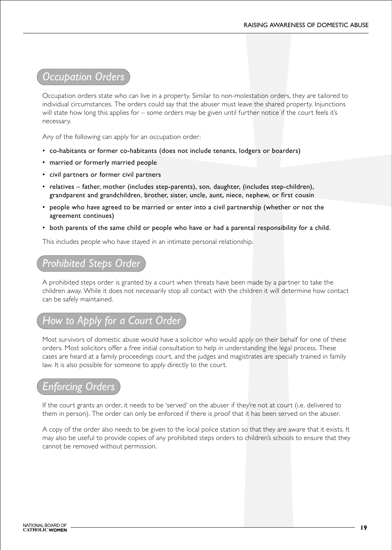### *Occupation Orders*

Occupation orders state who can live in a property. Similar to non-molestation orders, they are tailored to individual circumstances. The orders could say that the abuser must leave the shared property. Injunctions will state how long this applies for – some orders may be given until further notice if the court feels it's necessary.

Any of the following can apply for an occupation order:

- co-habitants or former co-habitants (does not include tenants, lodgers or boarders)
- married or formerly married people
- civil partners or former civil partners
- relatives father, mother (includes step-parents), son, daughter, (includes step-children), grandparent and grandchildren, brother, sister, uncle, aunt, niece, nephew, or first cousin
- people who have agreed to be married or enter into a civil partnership (whether or not the agreement continues)
- both parents of the same child or people who have or had a parental responsibility for a child.

This includes people who have stayed in an intimate personal relationship.

### *Prohibited Steps Order*

A prohibited steps order is granted by a court when threats have been made by a partner to take the children away. While it does not necessarily stop all contact with the children it will determine how contact can be safely maintained.

### *How to Apply for a Court Order*

Most survivors of domestic abuse would have a solicitor who would apply on their behalf for one of these orders. Most solicitors offer a free initial consultation to help in understanding the legal process. These cases are heard at a family proceedings court, and the judges and magistrates are specially trained in family law. It is also possible for someone to apply directly to the court.

### *Enforcing Orders*

If the court grants an order, it needs to be 'served' on the abuser if they're not at court (i.e. delivered to them in person). The order can only be enforced if there is proof that it has been served on the abuser.

A copy of the order also needs to be given to the local police station so that they are aware that it exists. It may also be useful to provide copies of any prohibited steps orders to children's schools to ensure that they cannot be removed without permission.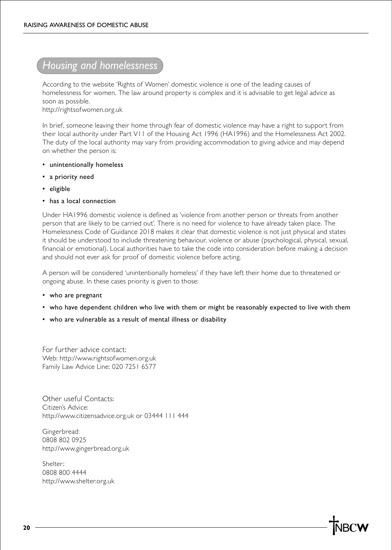### *Housing and homelessness*

According to the website 'Rights of Women' domestic violence is one of the leading causes of homelessness for women. The law around property is complex and it is advisable to get legal advice as soon as possible.

http://rightsofwomen.org.uk

In brief, someone leaving their home through fear of domestic violence may have a right to support from their local authority under Part V11 of the Housing Act 1996 (HA1996) and the Homelessness Act 2002. The duty of the local authority may vary from providing accommodation to giving advice and may depend on whether the person is:

- unintentionally homeless
- a priority need
- eligible
- has a local connection

Under HA1996 domestic violence is defined as 'violence from another person or threats from another person that are likely to be carried out'. There is no need for violence to have already taken place. The Homelessness Code of Guidance 2018 makes it clear that domestic violence is not just physical and states it should be understood to include threatening behaviour, violence or abuse (psychological, physical, sexual, financial or emotional). Local authorities have to take the code into consideration before making a decision and should not ever ask for proof of domestic violence before acting.

A person will be considered 'unintentionally homeless' if they have left their home due to threatened or ongoing abuse. In these cases priority is given to those:

- who are pregnant
- who have dependent children who live with them or might be reasonably expected to live with them
- who are vulnerable as a result of mental illness or disability

For further advice contact: Web: http://www.rightsofwomen.org.uk Family Law Advice Line: 020 7251 6577

Other useful Contacts: Citizen's Advice: http://www.citizensadvice.org.uk or 03444 111 444

Gingerbread: 0808 802 0925 http://www.gingerbread.org.uk

Shelter: 0808 800 4444 http://www.shelter.org.uk

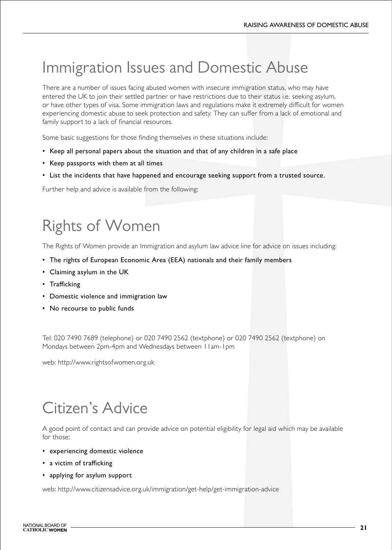# Immigration Issues and Domestic Abuse

There are a number of issues facing abused women with insecure immigration status, who may have entered the UK to join their settled partner or have restrictions due to their status i.e. seeking asylum, or have other types of visa. Some immigration laws and regulations make it extremely difficult for women experiencing domestic abuse to seek protection and safety. They can suffer from a lack of emotional and family support to a lack of financial resources.

Some basic suggestions for those finding themselves in these situations include:

- Keep all personal papers about the situation and that of any children in a safe place
- Keep passports with them at all times
- List the incidents that have happened and encourage seeking support from a trusted source.

Further help and advice is available from the following:

# Rights of Women

The Rights of Women provide an Immigration and asylum law advice line for advice on issues including:

- The rights of European Economic Area (EEA) nationals and their family members
- Claiming asylum in the UK
- Trafficking
- Domestic violence and immigration law
- No recourse to public funds

Tel: 020 7490 7689 (telephone) or 020 7490 2562 (textphone) or 020 7490 2562 (textphone) on Mondays between 2pm-4pm and Wednesdays between 11am-1pm

web: http://www.rightsofwomen.org.uk

# Citizen's Advice

A good point of contact and can provide advice on potential eligibility for legal aid which may be available for those:

- experiencing domestic violence
- a victim of trafficking
- applying for asylum support

web: http://www.citizensadvice.org.uk/immigration/get-help/get-immigration-advice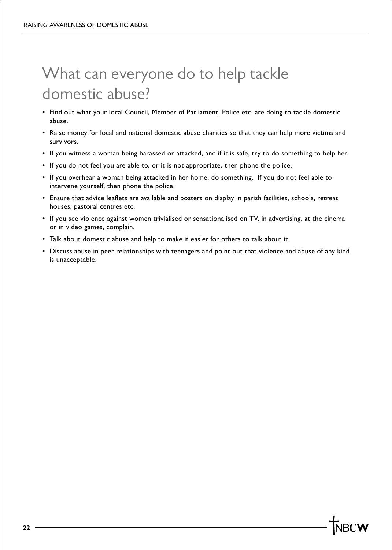# What can everyone do to help tackle domestic abuse?

- Find out what your local Council, Member of Parliament, Police etc. are doing to tackle domestic abuse.
- Raise money for local and national domestic abuse charities so that they can help more victims and survivors.
- If you witness a woman being harassed or attacked, and if it is safe, try to do something to help her.
- If you do not feel you are able to, or it is not appropriate, then phone the police.
- If you overhear a woman being attacked in her home, do something. If you do not feel able to intervene yourself, then phone the police.
- Ensure that advice leaflets are available and posters on display in parish facilities, schools, retreat houses, pastoral centres etc.
- If you see violence against women trivialised or sensationalised on TV, in advertising, at the cinema or in video games, complain.
- Talk about domestic abuse and help to make it easier for others to talk about it.
- Discuss abuse in peer relationships with teenagers and point out that violence and abuse of any kind is unacceptable.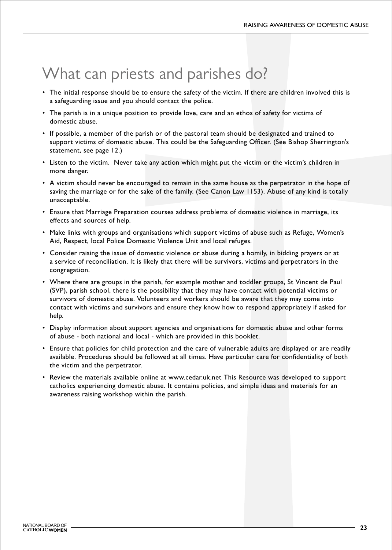# What can priests and parishes do?

- The initial response should be to ensure the safety of the victim. If there are children involved this is a safeguarding issue and you should contact the police.
- The parish is in a unique position to provide love, care and an ethos of safety for victims of domestic abuse.
- If possible, a member of the parish or of the pastoral team should be designated and trained to support victims of domestic abuse. This could be the Safeguarding Officer. (See Bishop Sherrington's statement, see page 12.)
- Listen to the victim. Never take any action which might put the victim or the victim's children in more danger.
- A victim should never be encouraged to remain in the same house as the perpetrator in the hope of saving the marriage or for the sake of the family. (See Canon Law 1153). Abuse of any kind is totally unacceptable.
- Ensure that Marriage Preparation courses address problems of domestic violence in marriage, its effects and sources of help.
- Make links with groups and organisations which support victims of abuse such as Refuge, Women's Aid, Respect, local Police Domestic Violence Unit and local refuges.
- Consider raising the issue of domestic violence or abuse during a homily, in bidding prayers or at a service of reconciliation. It is likely that there will be survivors, victims and perpetrators in the congregation.
- Where there are groups in the parish, for example mother and toddler groups, St Vincent de Paul (SVP), parish school, there is the possibility that they may have contact with potential victims or survivors of domestic abuse. Volunteers and workers should be aware that they may come into contact with victims and survivors and ensure they know how to respond appropriately if asked for help.
- Display information about support agencies and organisations for domestic abuse and other forms of abuse - both national and local - which are provided in this booklet.
- Ensure that policies for child protection and the care of vulnerable adults are displayed or are readily available. Procedures should be followed at all times. Have particular care for confidentiality of both the victim and the perpetrator.
- Review the materials available online at www.cedar.uk.net This Resource was developed to support catholics experiencing domestic abuse. It contains policies, and simple ideas and materials for an awareness raising workshop within the parish.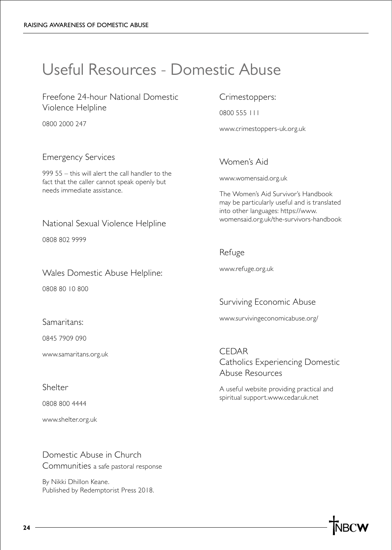# Useful Resources - Domestic Abuse

Freefone 24-hour National Domestic Violence Helpline

0800 2000 247

#### Emergency Services

999 55 – this will alert the call handler to the fact that the caller cannot speak openly but needs immediate assistance.

#### National Sexual Violence Helpline

0808 802 9999

Wales Domestic Abuse Helpline:

0808 80 10 800

Samaritans:

0845 7909 090

www.samaritans.org.uk

Shelter

0808 800 4444

www.shelter.org.uk

Domestic Abuse in Church Communities a safe pastoral response

By Nikki Dhillon Keane. Published by Redemptorist Press 2018.

#### Crimestoppers:

0800 555 111

www.crimestoppers-uk.org.uk

#### Women's Aid

www.womensaid.org.uk

The Women's Aid Survivor's Handbook may be particularly useful and is translated into other languages: https://www. womensaid.org.uk/the-survivors-handbook

#### Refuge

www.refuge.org.uk

Surviving Economic Abuse

www.survivingeconomicabuse.org/

CEDAR Catholics Experiencing Domestic Abuse Resources

A useful website providing practical and spiritual support.www.cedar.uk.net

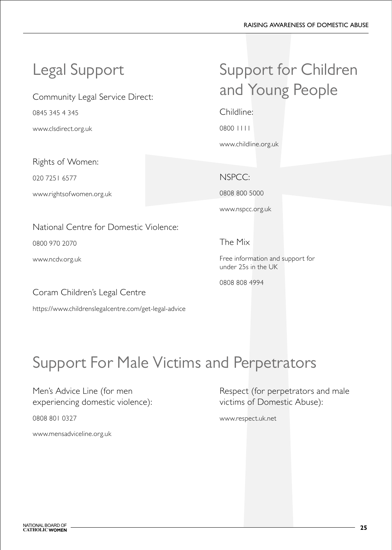Community Legal Service Direct:

0845 345 4 345

www.clsdirect.org.uk

Rights of Women:

020 7251 6577

www.rightsofwomen.org.uk

### National Centre for Domestic Violence:

0800 970 2070

www.ncdv.org.uk

Coram Children's Legal Centre

https://www.childrenslegalcentre.com/get-legal-advice

# Legal Support Support for Children and Young People

Childline:

0800 1111

www.childline.org.uk

### NSPCC:

0808 800 5000

www.nspcc.org.uk

### The Mix

Free information and support for under 25s in the UK

0808 808 4994

# Support For Male Victims and Perpetrators

Men's Advice Line (for men experiencing domestic violence):

0808 801 0327

www.mensadviceline.org.uk

Respect (for perpetrators and male victims of Domestic Abuse):

www.respect.uk.net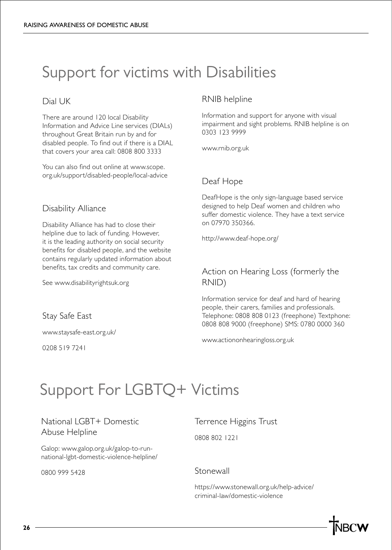# Support for victims with Disabilities

#### Dial UK

There are around 120 local Disability Information and Advice Line services (DIALs) throughout Great Britain run by and for disabled people. To find out if there is a DIAL that covers your area call: 0808 800 3333

You can also find out online at www.scope. org.uk/support/disabled-people/local-advice

#### Disability Alliance

Disability Alliance has had to close their helpline due to lack of funding. However, it is the leading authority on social security benefits for disabled people, and the website contains regularly updated information about benefits, tax credits and community care.

See www.disabilityrightsuk.org

Stay Safe East

www.staysafe-east.org.uk/

0208 519 7241

#### RNIB helpline

Information and support for anyone with visual impairment and sight problems. RNIB helpline is on 0303 123 9999

www.rnib.org.uk

#### Deaf Hope

DeafHope is the only sign-language based service designed to help Deaf women and children who suffer domestic violence. They have a text service on 07970 350366.

http://www.deaf-hope.org/

#### Action on Hearing Loss (formerly the RNID)

Information service for deaf and hard of hearing people, their carers, families and professionals. Telephone: 0808 808 0123 (freephone) Textphone: 0808 808 9000 (freephone) SMS: 0780 0000 360

www.actiononhearingloss.org.uk

# Support For LGBTQ+ Victims

#### National LGBT+ Domestic Abuse Helpline

Galop: www.galop.org.uk/galop-to-runnational-lgbt-domestic-violence-helpline/

0800 999 5428

Terrence Higgins Trust

0808 802 1221

#### Stonewall

https://www.stonewall.org.uk/help-advice/ criminal-law/domestic-violence

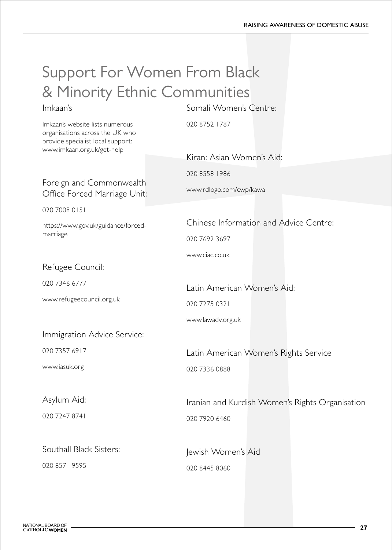### Support For Women From Black & Minority Ethnic Communities Somali Women's Centre:

#### Imkaan's

Imkaan's website lists numerous organisations across the UK who provide specialist local support: www.imkaan.org.uk/get-help

### 020 8752 1787

Foreign and Commonwealth Office Forced Marriage Unit:

020 7008 0151

https://www.gov.uk/guidance/forcedmarriage

#### Refugee Council:

020 7346 6777

www.refugeecouncil.org.uk

Immigration Advice Service:

020 7357 6917

www.iasuk.org

Asylum Aid:

020 7247 8741

Southall Black Sisters:

020 8571 9595

Kiran: Asian Women's Aid:

020 8558 1986

www.rdlogo.com/cwp/kawa

Chinese Information and Advice Centre:

020 7692 3697

www.ciac.co.uk

Latin American Women's Aid:

020 7275 0321

www.lawadv.org.uk

Latin American Women's Rights Service 020 7336 0888

Iranian and Kurdish Women's Rights Organisation 020 7920 6460

Jewish Women's Aid 020 8445 8060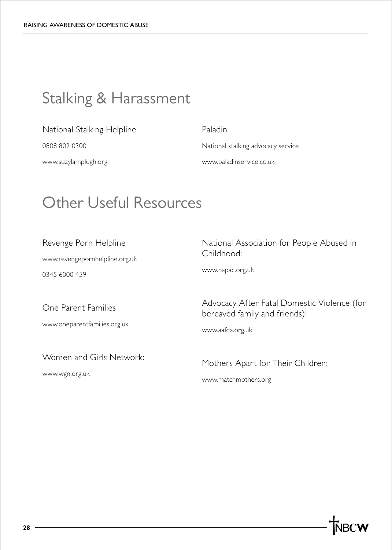# Stalking & Harassment

#### National Stalking Helpline

0808 802 0300

www.suzylamplugh.org

#### Paladin

National stalking advocacy service www.paladinservice.co.uk

### Other Useful Resources

Revenge Porn Helpline

www.revengepornhelpline.org.uk

0345 6000 459

National Association for People Abused in Childhood:

www.napac.org.uk

One Parent Families www.oneparentfamilies.org.uk

Women and Girls Network:

www.wgn.org.uk

Advocacy After Fatal Domestic Violence (for bereaved family and friends):

www.aafda.org.uk

Mothers Apart for Their Children: www.matchmothers.org

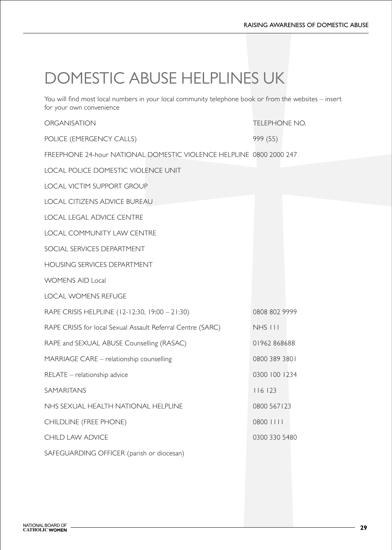# DOMESTIC ABUSE HELPLINES UK

You will find most local numbers in your local community telephone book or from the websites – insert for your own convenience

ORGANISATION TELEPHONE NO.

POLICE (EMERGENCY CALLS) 999 (55)

FREEPHONE 24-hour NATIONAL DOMESTIC VIOLENCE HELPLINE 0800 2000 247

LOCAL POLICE DOMESTIC VIOLENCE UNIT

LOCAL VICTIM SUPPORT GROUP

LOCAL CITIZENS ADVICE BUREAU

LOCAL LEGAL ADVICE CENTRE

LOCAL COMMUNITY LAW CENTRE

SOCIAL SERVICES DEPARTMENT

HOUSING SERVICES DEPARTMENT

WOMENS AID Local

LOCAL WOMENS REFUGE

RAPE CRISIS HELPLINE (12-12:30, 19:00 – 21:30) 0808 802 9999

RAPE CRISIS for local Sexual Assault Referral Centre (SARC) NHS 111

RAPE and SEXUAL ABUSE Counselling (RASAC) 01962 868688

MARRIAGE CARE – relationship counselling 0800 389 3801

RELATE – relationship advice 0300 100 1234

SAMARITANS 116 123

NHS SEXUAL HEALTH NATIONAL HELPLINE 0800 567123

CHILDLINE (FREE PHONE) 0800 1111

CHILD LAW ADVICE **CHILD LAW ADVICE** 2000 330 5480

SAFEGUARDING OFFICER (parish or diocesan)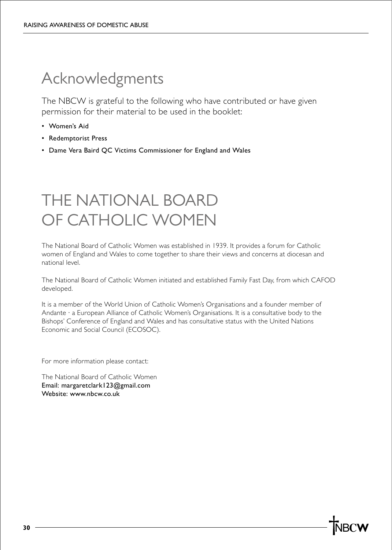# Acknowledgments

The NBCW is grateful to the following who have contributed or have given permission for their material to be used in the booklet:

- Women's Aid
- Redemptorist Press
- Dame Vera Baird QC Victims Commissioner for England and Wales

# THE NATIONAL BOARD OF CATHOLIC WOMEN

The National Board of Catholic Women was established in 1939. It provides a forum for Catholic women of England and Wales to come together to share their views and concerns at diocesan and national level.

The National Board of Catholic Women initiated and established Family Fast Day, from which CAFOD developed.

It is a member of the World Union of Catholic Women's Organisations and a founder member of Andante · a European Alliance of Catholic Women's Organisations. It is a consultative body to the Bishops' Conference of England and Wales and has consultative status with the United Nations Economic and Social Council (ECOSOC).

For more information please contact:

The National Board of Catholic Women Email: margaretclark123@gmail.com Website: www.nbcw.co.uk